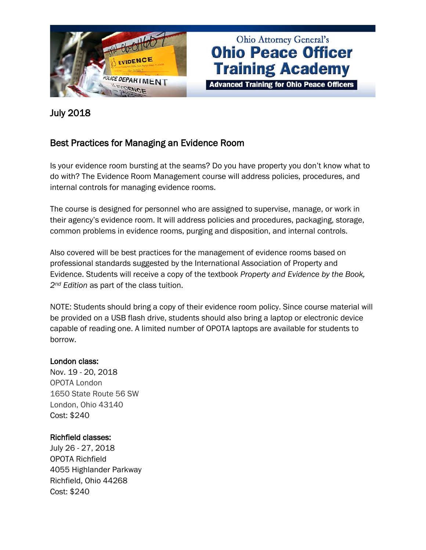

# Ohio Attorney General's **Ohio Peace Officer Training Academy**

**Advanced Training for Ohio Peace Officers** 

### July 2018

## Best Practices for Managing an Evidence Room

Is your evidence room bursting at the seams? Do you have property you don't know what to do with? The Evidence Room Management course will address policies, procedures, and internal controls for managing evidence rooms.

The course is designed for personnel who are assigned to supervise, manage, or work in their agency's evidence room. It will address policies and procedures, packaging, storage, common problems in evidence rooms, purging and disposition, and internal controls.

Also covered will be best practices for the management of evidence rooms based on professional standards suggested by the International Association of Property and Evidence. Students will receive a copy of the textbook *Property and Evidence by the Book, 2nd Edition* as part of the class tuition.

NOTE: Students should bring a copy of their evidence room policy. Since course material will be provided on a USB flash drive, students should also bring a laptop or electronic device capable of reading one. A limited number of OPOTA laptops are available for students to borrow.

#### London class:

Nov. 19 - 20, 2018 OPOTA London 1650 State Route 56 SW London, Ohio 43140 Cost: \$240

#### Richfield classes:

July 26 - 27, 2018 OPOTA Richfield 4055 Highlander Parkway Richfield, Ohio 44268 Cost: \$240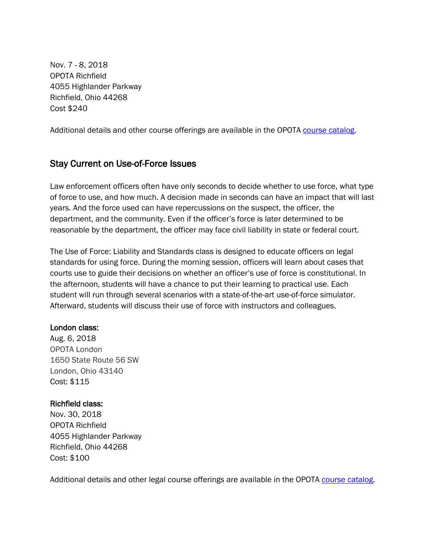Nov. 7 - 8, 2018 OPOTA Richfield 4055 Highlander Parkway Richfield, Ohio 44268 Cost \$240

Additional details and other course offerings are available in the OPOTA [course catalog.](http://www.ohioattorneygeneral.gov/Law-Enforcement/Ohio-Peace-Officer-Training-Academy/Course-Catalog/Course-Categories/Crime-Scene-Courses)

## Stay Current on Use-of-Force Issues

Law enforcement officers often have only seconds to decide whether to use force, what type of force to use, and how much. A decision made in seconds can have an impact that will last years. And the force used can have repercussions on the suspect, the officer, the department, and the community. Even if the officer's force is later determined to be reasonable by the department, the officer may face civil liability in state or federal court.

The Use of Force: Liability and Standards class is designed to educate officers on legal standards for using force. During the morning session, officers will learn about cases that courts use to guide their decisions on whether an officer's use of force is constitutional. In the afternoon, students will have a chance to put their learning to practical use. Each student will run through several scenarios with a state-of-the-art use-of-force simulator. Afterward, students will discuss their use of force with instructors and colleagues.

#### London class:

Aug. 6, 2018 OPOTA London 1650 State Route 56 SW London, Ohio 43140 Cost: \$115

#### Richfield class:

Nov. 30, 2018 OPOTA Richfield 4055 Highlander Parkway Richfield, Ohio 44268 Cost: \$100

Additional details and other legal course offerings are available in the OPOTA [course catalog.](https://www.ohioattorneygeneral.gov/Law-Enforcement/Ohio-Peace-Officer-Training-Academy/Course-Catalog/Course-Categories/Legal-Courses)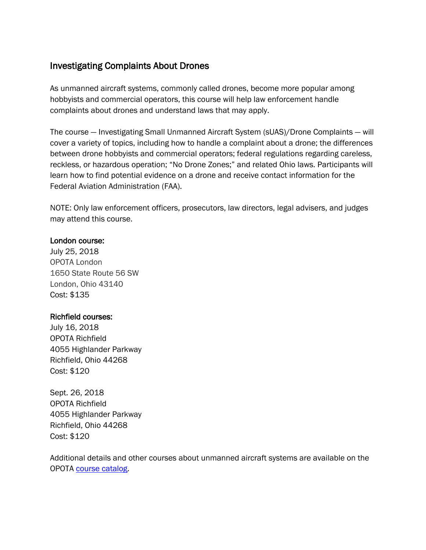# Investigating Complaints About Drones

As unmanned aircraft systems, commonly called drones, become more popular among hobbyists and commercial operators, this course will help law enforcement handle complaints about drones and understand laws that may apply.

The course — Investigating Small Unmanned Aircraft System (sUAS)/Drone Complaints — will cover a variety of topics, including how to handle a complaint about a drone; the differences between drone hobbyists and commercial operators; federal regulations regarding careless, reckless, or hazardous operation; "No Drone Zones;" and related Ohio laws. Participants will learn how to find potential evidence on a drone and receive contact information for the Federal Aviation Administration (FAA).

NOTE: Only law enforcement officers, prosecutors, law directors, legal advisers, and judges may attend this course.

#### London course:

July 25, 2018 OPOTA London 1650 State Route 56 SW London, Ohio 43140 Cost: \$135

#### Richfield courses:

July 16, 2018 OPOTA Richfield 4055 Highlander Parkway Richfield, Ohio 44268 Cost: \$120

Sept. 26, 2018 OPOTA Richfield 4055 Highlander Parkway Richfield, Ohio 44268 Cost: \$120

Additional details and other courses about unmanned aircraft systems are available on the OPOTA [course catalog.](https://www.ohioattorneygeneral.gov/Law-Enforcement/Ohio-Peace-Officer-Training-Academy/Course-Catalog/Course-Categories/Unmanned-Aircraft-Systems-Courses)